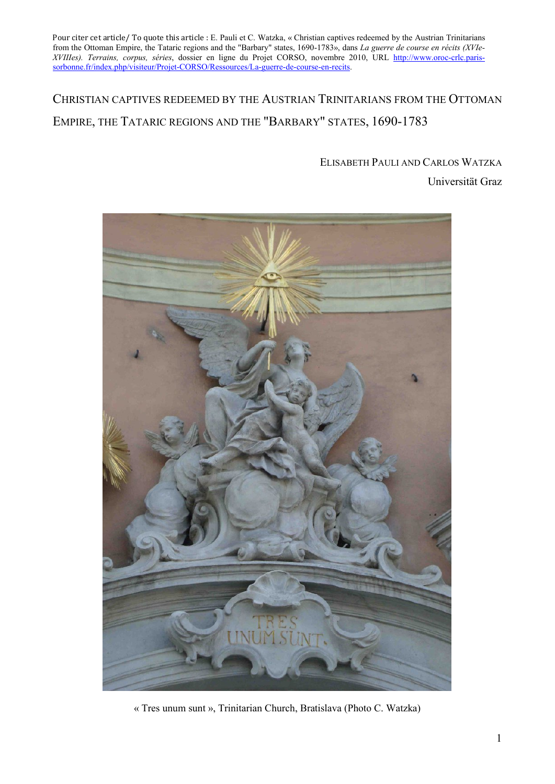## CHRISTIAN CAPTIVES REDEEMED BY THE AUSTRIAN TRINITARIANS FROM THE OTTOMAN EMPIRE, THE TATARIC REGIONS AND THE "BARBARY" STATES, 1690-1783

# ELISABETH PAULI AND CARLOS WATZKA





« Tres unum sunt », Trinitarian Church, Bratislava (Photo C. Watzka)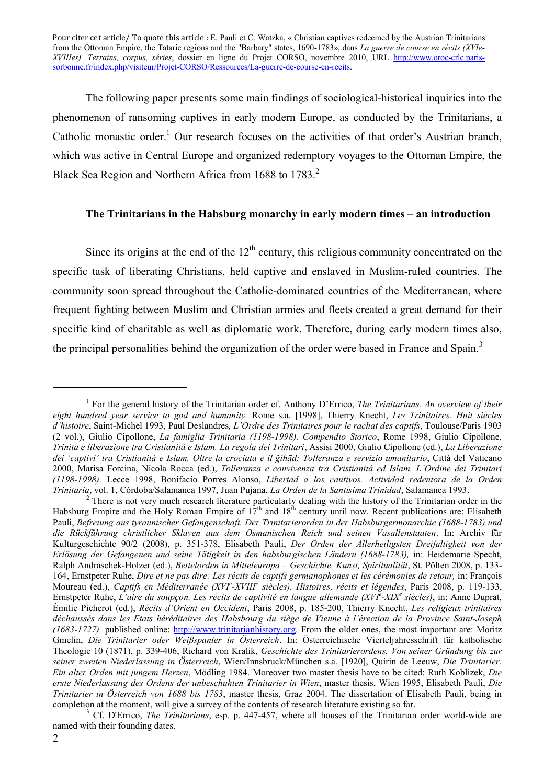The following paper presents some main findings of sociological-historical inquiries into the phenomenon of ransoming captives in early modern Europe, as conducted by the Trinitarians, a Catholic monastic order.<sup>1</sup> Our research focuses on the activities of that order's Austrian branch, which was active in Central Europe and organized redemptory voyages to the Ottoman Empire, the Black Sea Region and Northern Africa from 1688 to 1783.<sup>2</sup>

#### **The Trinitarians in the Habsburg monarchy in early modern times – an introduction**

Since its origins at the end of the  $12<sup>th</sup>$  century, this religious community concentrated on the specific task of liberating Christians, held captive and enslaved in Muslim-ruled countries. The community soon spread throughout the Catholic-dominated countries of the Mediterranean, where frequent fighting between Muslim and Christian armies and fleets created a great demand for their specific kind of charitable as well as diplomatic work. Therefore, during early modern times also, the principal personalities behind the organization of the order were based in France and Spain.<sup>3</sup>

named with their founding dates.

<sup>1</sup> For the general history of the Trinitarian order cf. Anthony D'Errico, *The Trinitarians. An overview of their eight hundred year service to god and humanity.* Rome s.a. [1998], Thierry Knecht, *Les Trinitaires. Huit siècles d'histoire*, Saint-Michel 1993, Paul Deslandres*, L'Ordre des Trinitaires pour le rachat des captifs*, Toulouse/Paris 1903 (2 vol.), Giulio Cipollone, *La famiglia Trinitaria (1198-1998). Compendio Storico*, Rome 1998, Giulio Cipollone, *Trinità e liberazione tra Cristianità e Islam. La regola dei Trinitari*, Assisi 2000, Giulio Cipollone (ed.), *La Liberazione dei 'captivi' tra Cristianità e Islam. Oltre la crociata e il ğihād: Tolleranza e servizio umanitario*, Città del Vaticano 2000, Marisa Forcina, Nicola Rocca (ed.), *Tolleranza e convivenza tra Cristianità ed Islam. L'Ordine dei Trinitari (1198-1998),* Lecce 1998, Bonifacio Porres Alonso, *Libertad a los cautivos. Actividad redentora de la Orden*  Trinitaria, vol. 1, Córdoba/Salamanca 1997, Juan Pujana, *La Orden de la Santísima Trinidad*, Salamanca 1993.<br><sup>2</sup> There is not very much research literature particularly dealing with the history of the Trinitarian order in

Habsburg Empire and the Holy Roman Empire of  $17<sup>th</sup>$  and  $18<sup>th</sup>$  century until now. Recent publications are: Elisabeth Pauli, *Befreiung aus tyrannischer Gefangenschaft. Der Trinitarierorden in der Habsburgermonarchie (1688-1783) und die Rückführung christlicher Sklaven aus dem Osmanischen Reich und seinen Vasallenstaaten*. In: Archiv für Kulturgeschichte 90/2 (2008), p. 351-378, Elisabeth Pauli, *Der Orden der Allerheiligsten Dreifaltigkeit von der Erlösung der Gefangenen und seine Tätigkeit in den habsburgischen Ländern (1688-1783),* in: Heidemarie Specht, Ralph Andraschek-Holzer (ed.), *Bettelorden in Mitteleuropa – Geschichte, Kunst, Spiritualität*, St. Pölten 2008, p. 133- 164, Ernstpeter Ruhe, *Dire et ne pas dire: Les récits de captifs germanophones et les cérémonies de retour,* in: François Moureau (ed.), *Captifs en Méditerranée (XVI<sup>e</sup> -XVIII<sup>e</sup> siècles). Histoires, récits et légendes*, Paris 2008, p. 119-133, Ernstpeter Ruhe, *L'aire du soupçon. Les récits de captivité en langue allemande (XVI<sup>e</sup> -XIX<sup>e</sup> siècles)*, in: Anne Duprat, Émilie Picherot (ed.), *Récits d'Orient en Occident*, Paris 2008, p. 185-200, Thierry Knecht, *Les religieux trinitaires déchaussés dans les Etats héréditaires des Habsbourg du siège de Vienne à l'érection de la Province Saint-Joseph (1683-1727),* published online: http://www.trinitarianhistory.org. From the older ones, the most important are: Moritz Gmelin, *Die Trinitarier oder Weißspanier in Österreich*. In: Österreichische Vierteljahresschrift für katholische Theologie 10 (1871), p. 339-406, Richard von Kralik, *Geschichte des Trinitarierordens. Von seiner Gründung bis zur seiner zweiten Niederlassung in Österreich*, Wien/Innsbruck/München s.a. [1920], Quirin de Leeuw, *Die Trinitarier. Ein alter Orden mit jungem Herzen*, Mödling 1984. Moreover two master thesis have to be cited: Ruth Koblizek, *Die erste Niederlassung des Ordens der unbeschuhten Trinitarier in Wien*, master thesis, Wien 1995, Elisabeth Pauli, *Die Trinitarier in Österreich von 1688 bis 1783*, master thesis, Graz 2004. The dissertation of Elisabeth Pauli, being in completion at the moment, will give a survey of the contents of research literature existing so far. <sup>3</sup> Cf. D'Errico, *The Trinitarians*, esp. p. 447-457, where all houses of the Trinitarian order world-wide are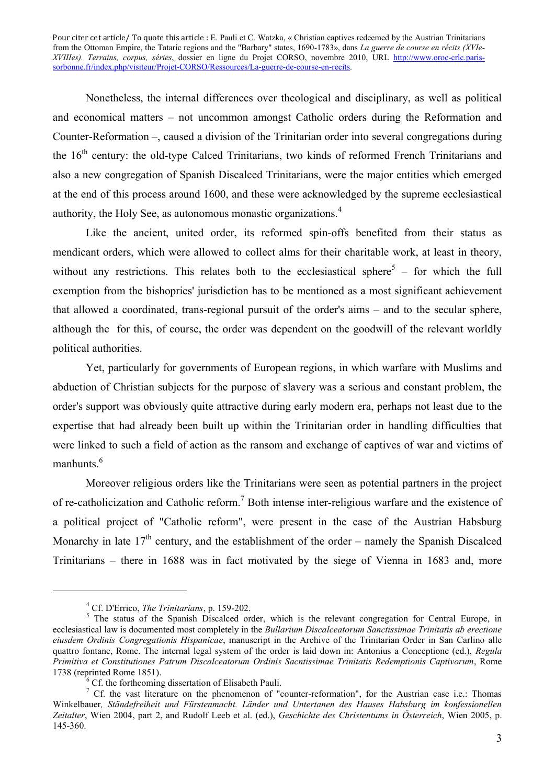Nonetheless, the internal differences over theological and disciplinary, as well as political and economical matters – not uncommon amongst Catholic orders during the Reformation and Counter-Reformation –, caused a division of the Trinitarian order into several congregations during the 16<sup>th</sup> century: the old-type Calced Trinitarians, two kinds of reformed French Trinitarians and also a new congregation of Spanish Discalced Trinitarians, were the major entities which emerged at the end of this process around 1600, and these were acknowledged by the supreme ecclesiastical authority, the Holy See, as autonomous monastic organizations.<sup>4</sup>

Like the ancient, united order, its reformed spin-offs benefited from their status as mendicant orders, which were allowed to collect alms for their charitable work, at least in theory, without any restrictions. This relates both to the ecclesiastical sphere<sup>5</sup> – for which the full exemption from the bishoprics' jurisdiction has to be mentioned as a most significant achievement that allowed a coordinated, trans-regional pursuit of the order's aims – and to the secular sphere, although the for this, of course, the order was dependent on the goodwill of the relevant worldly political authorities.

Yet, particularly for governments of European regions, in which warfare with Muslims and abduction of Christian subjects for the purpose of slavery was a serious and constant problem, the order's support was obviously quite attractive during early modern era, perhaps not least due to the expertise that had already been built up within the Trinitarian order in handling difficulties that were linked to such a field of action as the ransom and exchange of captives of war and victims of manhunts.<sup>6</sup>

Moreover religious orders like the Trinitarians were seen as potential partners in the project of re-catholicization and Catholic reform.<sup>7</sup> Both intense inter-religious warfare and the existence of a political project of "Catholic reform", were present in the case of the Austrian Habsburg Monarchy in late  $17<sup>th</sup>$  century, and the establishment of the order – namely the Spanish Discalced Trinitarians – there in 1688 was in fact motivated by the siege of Vienna in 1683 and, more

<sup>&</sup>lt;sup>4</sup> Cf. D'Errico, *The Trinitarians*, p. 159-202.<br><sup>5</sup> The status of the Spanish Discalced order, which is the relevant congregation for Central Europe, in ecclesiastical law is documented most completely in the *Bullarium Discalceatorum Sanctissimae Trinitatis ab erectione eiusdem Ordinis Congregationis Hispanicae*, manuscript in the Archive of the Trinitarian Order in San Carlino alle quattro fontane, Rome. The internal legal system of the order is laid down in: Antonius a Conceptione (ed.), *Regula Primitiva et Constitutiones Patrum Discalceatorum Ordinis Sacntissimae Trinitatis Redemptionis Captivorum*, Rome 1738 (reprinted Rome 1851).<br><sup>6</sup> Cf. the forthcoming dissertation of Elisabeth Pauli.

<sup>&</sup>lt;sup>7</sup> Cf. the vast literature on the phenomenon of "counter-reformation", for the Austrian case i.e.: Thomas Winkelbauer*, Ständefreiheit und Fürstenmacht. Länder und Untertanen des Hauses Habsburg im konfessionellen Zeitalter*, Wien 2004, part 2, and Rudolf Leeb et al. (ed.), *Geschichte des Christentums in Österreich*, Wien 2005, p. 145-360.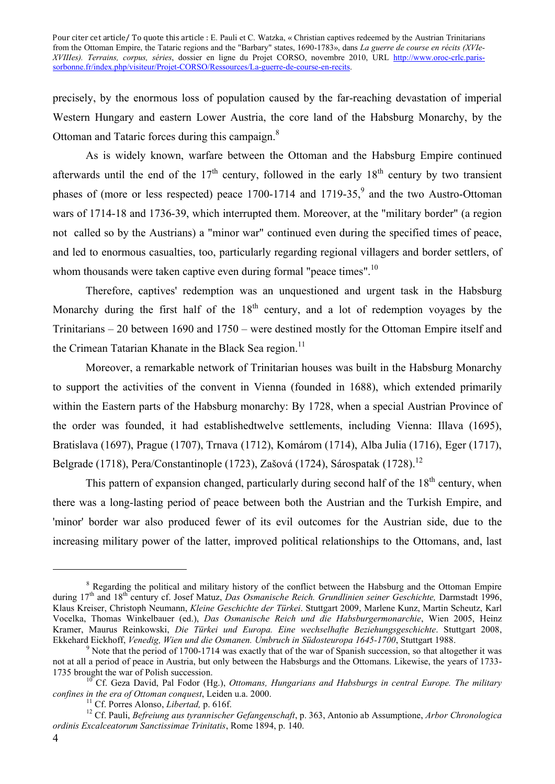precisely, by the enormous loss of population caused by the far-reaching devastation of imperial Western Hungary and eastern Lower Austria, the core land of the Habsburg Monarchy, by the Ottoman and Tataric forces during this campaign.<sup>8</sup>

As is widely known, warfare between the Ottoman and the Habsburg Empire continued afterwards until the end of the  $17<sup>th</sup>$  century, followed in the early  $18<sup>th</sup>$  century by two transient phases of (more or less respected) peace  $1700-1714$  and  $1719-35$ , and the two Austro-Ottoman wars of 1714-18 and 1736-39, which interrupted them. Moreover, at the "military border" (a region not called so by the Austrians) a "minor war" continued even during the specified times of peace, and led to enormous casualties, too, particularly regarding regional villagers and border settlers, of whom thousands were taken captive even during formal "peace times".<sup>10</sup>

Therefore, captives' redemption was an unquestioned and urgent task in the Habsburg Monarchy during the first half of the  $18<sup>th</sup>$  century, and a lot of redemption voyages by the Trinitarians – 20 between 1690 and 1750 – were destined mostly for the Ottoman Empire itself and the Crimean Tatarian Khanate in the Black Sea region.<sup>11</sup>

Moreover, a remarkable network of Trinitarian houses was built in the Habsburg Monarchy to support the activities of the convent in Vienna (founded in 1688), which extended primarily within the Eastern parts of the Habsburg monarchy: By 1728, when a special Austrian Province of the order was founded, it had establishedtwelve settlements, including Vienna: Illava (1695), Bratislava (1697), Prague (1707), Trnava (1712), Komárom (1714), Alba Julia (1716), Eger (1717), Belgrade (1718), Pera/Constantinople (1723), Zašová (1724), Sárospatak (1728).<sup>12</sup>

This pattern of expansion changed, particularly during second half of the  $18<sup>th</sup>$  century, when there was a long-lasting period of peace between both the Austrian and the Turkish Empire, and 'minor' border war also produced fewer of its evil outcomes for the Austrian side, due to the increasing military power of the latter, improved political relationships to the Ottomans, and, last

<sup>&</sup>lt;sup>8</sup> Regarding the political and military history of the conflict between the Habsburg and the Ottoman Empire during 17th and 18th century cf. Josef Matuz, *Das Osmanische Reich. Grundlinien seiner Geschichte,* Darmstadt 1996, Klaus Kreiser, Christoph Neumann, *Kleine Geschichte der Türkei*. Stuttgart 2009, Marlene Kunz, Martin Scheutz, Karl Vocelka, Thomas Winkelbauer (ed.), *Das Osmanische Reich und die Habsburgermonarchie*, Wien 2005, Heinz Kramer, Maurus Reinkowski, *Die Türkei und Europa. Eine wechselhafte Beziehungsgeschichte*. Stuttgart 2008, Ekkehard Eickhoff, *Venedig, Wien und die Osmanen. Umbruch in Südosteuropa 1645-1700*, Stuttgart 1988. <sup>9</sup> Note that the period of 1700-1714 was exactly that of the war of Spanish succession, so that altogether it was

not at all a period of peace in Austria, but only between the Habsburgs and the Ottomans. Likewise, the years of 1733- 1735 brought the war of Polish succession.<br><sup>10</sup> Cf. Geza David, Pal Fodor (Hg.), *Ottomans, Hungarians and Habsburgs in central Europe. The military* 

confines in the era of Ottoman conquest, Leiden u.a. 2000.<br><sup>11</sup> Cf. Porres Alonso, *Libertad*, p. 616f.<br><sup>12</sup> Cf. Pauli, *Befreiung aus tyrannischer Gefangenschaft*, p. 363, Antonio ab Assumptione, *Arbor Chronologica* 

*ordinis Excalceatorum Sanctissimae Trinitatis*, Rome 1894, p. 140.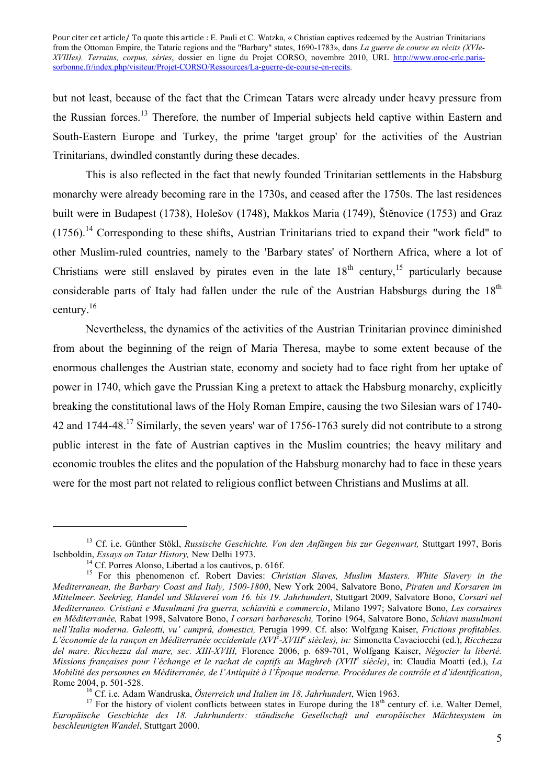but not least, because of the fact that the Crimean Tatars were already under heavy pressure from the Russian forces.<sup>13</sup> Therefore, the number of Imperial subjects held captive within Eastern and South-Eastern Europe and Turkey, the prime 'target group' for the activities of the Austrian Trinitarians, dwindled constantly during these decades.

This is also reflected in the fact that newly founded Trinitarian settlements in the Habsburg monarchy were already becoming rare in the 1730s, and ceased after the 1750s. The last residences built were in Budapest (1738), Holešov (1748), Makkos Maria (1749), Štĕnovice (1753) and Graz  $(1756)$ <sup>14</sup> Corresponding to these shifts, Austrian Trinitarians tried to expand their "work field" to other Muslim-ruled countries, namely to the 'Barbary states' of Northern Africa, where a lot of Christians were still enslaved by pirates even in the late  $18<sup>th</sup>$  century, <sup>15</sup> particularly because considerable parts of Italy had fallen under the rule of the Austrian Habsburgs during the  $18<sup>th</sup>$ century.<sup>16</sup>

Nevertheless, the dynamics of the activities of the Austrian Trinitarian province diminished from about the beginning of the reign of Maria Theresa, maybe to some extent because of the enormous challenges the Austrian state, economy and society had to face right from her uptake of power in 1740, which gave the Prussian King a pretext to attack the Habsburg monarchy, explicitly breaking the constitutional laws of the Holy Roman Empire, causing the two Silesian wars of 1740- 42 and 1744-48.<sup>17</sup> Similarly, the seven years' war of 1756-1763 surely did not contribute to a strong public interest in the fate of Austrian captives in the Muslim countries; the heavy military and economic troubles the elites and the population of the Habsburg monarchy had to face in these years were for the most part not related to religious conflict between Christians and Muslims at all.

<sup>&</sup>lt;sup>13</sup> Cf. i.e. Günther Stökl, *Russische Geschichte. Von den Anfängen bis zur Gegenwart*, Stuttgart 1997, Boris Ischboldin, *Essays on Tatar History*, New Delhi 1973.<br><sup>14</sup> Cf. Porres Alonso, Libertad a los cautivos, p. 616f.

<sup>15</sup> For this phenomenon cf. Robert Davies: *Christian Slaves, Muslim Masters. White Slavery in the Mediterranean, the Barbary Coast and Italy, 1500-1800*, New York 2004, Salvatore Bono, *Piraten und Korsaren im Mittelmeer. Seekrieg, Handel und Sklaverei vom 16. bis 19. Jahrhundert*, Stuttgart 2009, Salvatore Bono, *Corsari nel Mediterraneo. Cristiani e Musulmani fra guerra, schiavitù e commercio*, Milano 1997; Salvatore Bono, *Les corsaires en Méditerranée,* Rabat 1998, Salvatore Bono, *I corsari barbareschi,* Torino 1964, Salvatore Bono, *Schiavi musulmani nell'Italia moderna. Galeotti, vu' cumprà, domestici,* Perugia 1999. Cf. also: Wolfgang Kaiser, *Frictions profitables. L'économie de la rançon en Méditerranée occidentale (XVI<sup>e</sup> -XVIII<sup>e</sup> siècles), in:* Simonetta Cavaciocchi (ed.), *Ricchezza del mare. Ricchezza dal mare, sec. XIII-XVIII,* Florence 2006, p. 689-701, Wolfgang Kaiser, *Négocier la liberté. Missions françaises pour l'échange et le rachat de captifs au Maghreb (XVII<sup>e</sup> siècle)*, in: Claudia Moatti (ed.), *La Mobilité des personnes en Méditerranée, de l'Antiquité à l'Époque moderne. Procédures de contrôle et d'identification*, Rome 2004, p. 501-528.<br><sup>16</sup> Cf. i.e. Adam Wandruska, *Österreich und Italien im 18. Jahrhundert*, Wien 1963.<br><sup>17</sup> For the history of violent conflicts between states in Europe during the 18<sup>th</sup> century cf. i.e. Walter Deme

*Europäische Geschichte des 18. Jahrhunderts: ständische Gesellschaft und europäisches Mächtesystem im beschleunigten Wandel*, Stuttgart 2000.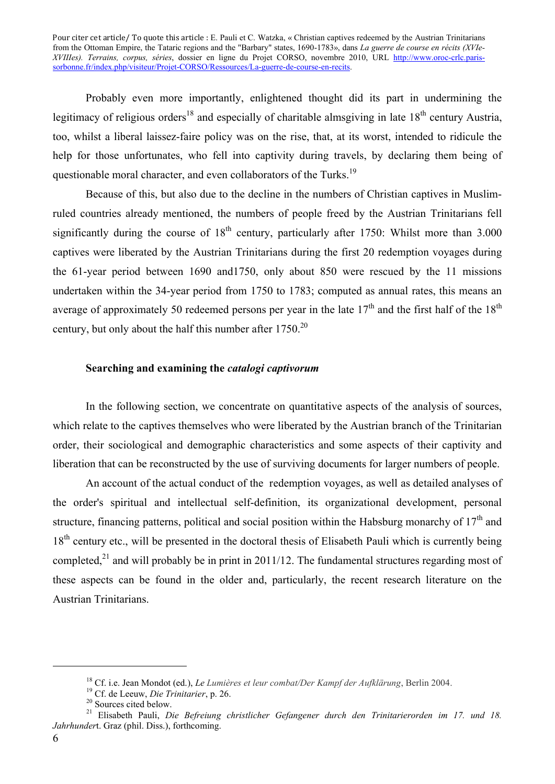Probably even more importantly, enlightened thought did its part in undermining the legitimacy of religious orders<sup>18</sup> and especially of charitable almsgiving in late  $18<sup>th</sup>$  century Austria, too, whilst a liberal laissez-faire policy was on the rise, that, at its worst, intended to ridicule the help for those unfortunates, who fell into captivity during travels, by declaring them being of questionable moral character, and even collaborators of the Turks.<sup>19</sup>

Because of this, but also due to the decline in the numbers of Christian captives in Muslimruled countries already mentioned, the numbers of people freed by the Austrian Trinitarians fell significantly during the course of  $18<sup>th</sup>$  century, particularly after 1750: Whilst more than 3.000 captives were liberated by the Austrian Trinitarians during the first 20 redemption voyages during the 61-year period between 1690 and1750, only about 850 were rescued by the 11 missions undertaken within the 34-year period from 1750 to 1783; computed as annual rates, this means an average of approximately 50 redeemed persons per year in the late  $17<sup>th</sup>$  and the first half of the  $18<sup>th</sup>$ century, but only about the half this number after  $1750^{20}$ 

#### **Searching and examining the** *catalogi captivorum*

In the following section, we concentrate on quantitative aspects of the analysis of sources, which relate to the captives themselves who were liberated by the Austrian branch of the Trinitarian order, their sociological and demographic characteristics and some aspects of their captivity and liberation that can be reconstructed by the use of surviving documents for larger numbers of people.

An account of the actual conduct of the redemption voyages, as well as detailed analyses of the order's spiritual and intellectual self-definition, its organizational development, personal structure, financing patterns, political and social position within the Habsburg monarchy of  $17<sup>th</sup>$  and  $18<sup>th</sup>$  century etc., will be presented in the doctoral thesis of Elisabeth Pauli which is currently being completed,<sup>21</sup> and will probably be in print in 2011/12. The fundamental structures regarding most of these aspects can be found in the older and, particularly, the recent research literature on the Austrian Trinitarians.

<sup>&</sup>lt;sup>18</sup> Cf. i.e. Jean Mondot (ed.), *Le Lumières et leur combat/Der Kampf der Aufklärung*, Berlin 2004.<br><sup>19</sup> Cf. de Leeuw, *Die Trinitarier*, p. 26.<br><sup>20</sup> Sources cited below.<br><sup>21</sup> Elisabeth Pauli, *Die Befreiung christlicher Jahrhunder*t. Graz (phil. Diss.), forthcoming.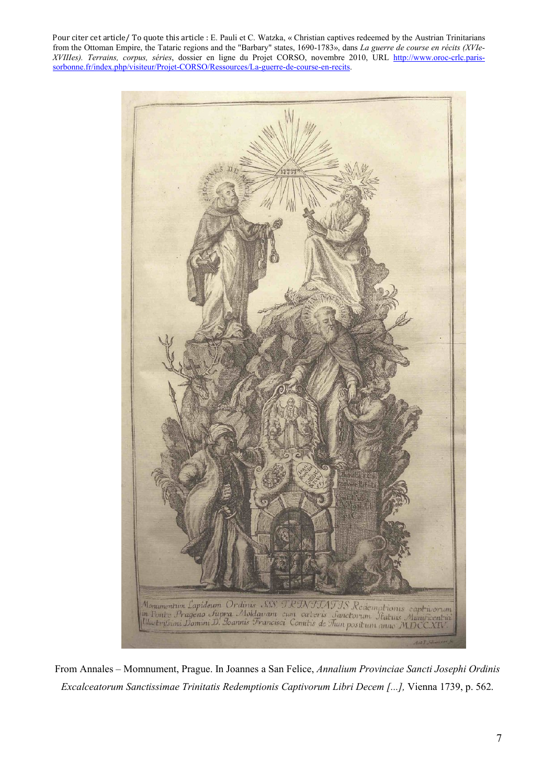

From Annales – Momnument, Prague. In Joannes a San Felice, *Annalium Provinciae Sancti Josephi Ordinis Excalceatorum Sanctissimae Trinitatis Redemptionis Captivorum Libri Decem [...],* Vienna 1739, p. 562.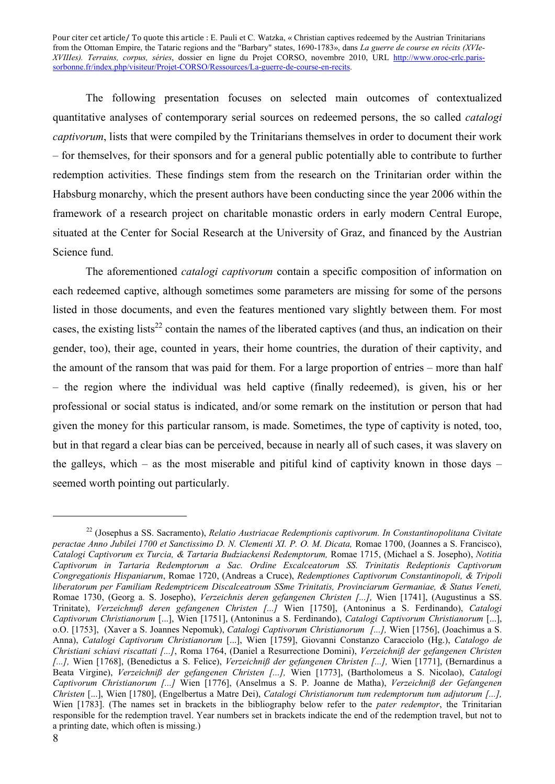The following presentation focuses on selected main outcomes of contextualized quantitative analyses of contemporary serial sources on redeemed persons, the so called *catalogi captivorum*, lists that were compiled by the Trinitarians themselves in order to document their work – for themselves, for their sponsors and for a general public potentially able to contribute to further redemption activities. These findings stem from the research on the Trinitarian order within the Habsburg monarchy, which the present authors have been conducting since the year 2006 within the framework of a research project on charitable monastic orders in early modern Central Europe, situated at the Center for Social Research at the University of Graz, and financed by the Austrian Science fund.

The aforementioned *catalogi captivorum* contain a specific composition of information on each redeemed captive, although sometimes some parameters are missing for some of the persons listed in those documents, and even the features mentioned vary slightly between them. For most cases, the existing lists<sup>22</sup> contain the names of the liberated captives (and thus, an indication on their gender, too), their age, counted in years, their home countries, the duration of their captivity, and the amount of the ransom that was paid for them. For a large proportion of entries – more than half – the region where the individual was held captive (finally redeemed), is given, his or her professional or social status is indicated, and/or some remark on the institution or person that had given the money for this particular ransom, is made. Sometimes, the type of captivity is noted, too, but in that regard a clear bias can be perceived, because in nearly all of such cases, it was slavery on the galleys, which – as the most miserable and pitiful kind of captivity known in those days – seemed worth pointing out particularly.

<u>.</u>

<sup>22</sup> (Josephus a SS. Sacramento), *Relatio Austriacae Redemptionis captivorum. In Constantinopolitana Civitate peractae Anno Jubilei 1700 et Sanctissimo D. N. Clementi XI. P. O. M. Dicata,* Romae 1700, (Joannes a S. Francisco), *Catalogi Captivorum ex Turcia, & Tartaria Budziackensi Redemptorum,* Romae 1715, (Michael a S. Josepho), *Notitia Captivorum in Tartaria Redemptorum a Sac. Ordine Excalceatorum SS. Trinitatis Redeptionis Captivorum Congregationis Hispaniarum*, Romae 1720, (Andreas a Cruce), *Redemptiones Captivorum Constantinopoli, & Tripoli liberatorum per Familiam Redemptricem Discalceatroum SSme Trinitatis, Provinciarum Germaniae, & Status Veneti,*  Romae 1730, (Georg a. S. Josepho), *Verzeichnis deren gefangenen Christen [...],* Wien [1741], (Augustinus a SS. Trinitate), *Verzeichnuß deren gefangenen Christen [...]* Wien [1750], (Antoninus a S. Ferdinando), *Catalogi Captivorum Christianorum* [...], Wien [1751], (Antoninus a S. Ferdinando), *Catalogi Captivorum Christianorum* [...], o.O. [1753], (Xaver a S. Joannes Nepomuk), *Catalogi Captivorum Christianorum [...],* Wien [1756], (Joachimus a S. Anna), *Catalogi Captivorum Christianorum* [...], Wien [1759], Giovanni Constanzo Caracciolo (Hg.), *Catalogo de Christiani schiavi riscattati [...]*, Roma 1764, (Daniel a Resurrectione Domini), *Verzeichniß der gefangenen Christen [...],* Wien [1768], (Benedictus a S. Felice), *Verzeichniß der gefangenen Christen [...],* Wien [1771], (Bernardinus a Beata Virgine), *Verzeichniß der gefangenen Christen [...],* Wien [1773], (Bartholomeus a S. Nicolao), *Catalogi Captivorum Christianorum [...]* Wien [1776], (Anselmus a S. P. Joanne de Matha), *Verzeichniß der Gefangenen Christen* [...], Wien [1780], (Engelbertus a Matre Dei), *Catalogi Christianorum tum redemptorum tum adjutorum [...],*  Wien [1783]. (The names set in brackets in the bibliography below refer to the *pater redemptor*, the Trinitarian responsible for the redemption travel. Year numbers set in brackets indicate the end of the redemption travel, but not to a printing date, which often is missing.)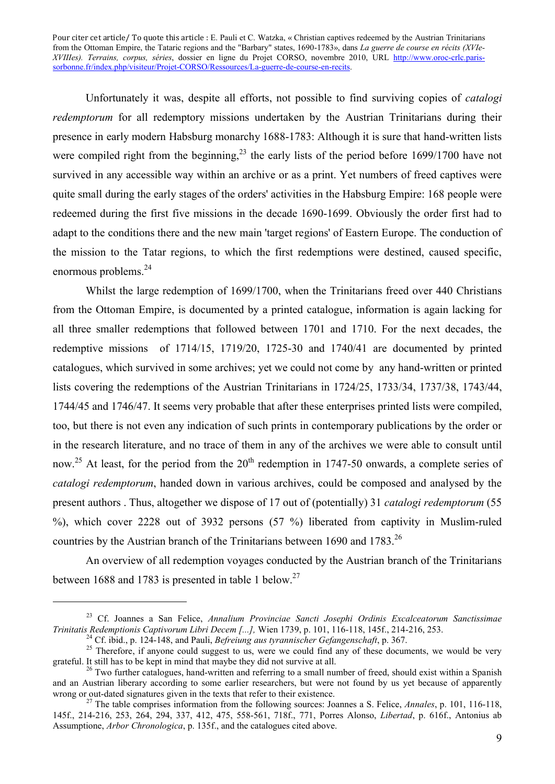Unfortunately it was, despite all efforts, not possible to find surviving copies of *catalogi redemptorum* for all redemptory missions undertaken by the Austrian Trinitarians during their presence in early modern Habsburg monarchy 1688-1783: Although it is sure that hand-written lists were compiled right from the beginning,<sup>23</sup> the early lists of the period before 1699/1700 have not survived in any accessible way within an archive or as a print. Yet numbers of freed captives were quite small during the early stages of the orders' activities in the Habsburg Empire: 168 people were redeemed during the first five missions in the decade 1690-1699. Obviously the order first had to adapt to the conditions there and the new main 'target regions' of Eastern Europe. The conduction of the mission to the Tatar regions, to which the first redemptions were destined, caused specific, enormous problems.<sup>24</sup>

Whilst the large redemption of 1699/1700, when the Trinitarians freed over 440 Christians from the Ottoman Empire, is documented by a printed catalogue, information is again lacking for all three smaller redemptions that followed between 1701 and 1710. For the next decades, the redemptive missions of 1714/15, 1719/20, 1725-30 and 1740/41 are documented by printed catalogues, which survived in some archives; yet we could not come by any hand-written or printed lists covering the redemptions of the Austrian Trinitarians in 1724/25, 1733/34, 1737/38, 1743/44, 1744/45 and 1746/47. It seems very probable that after these enterprises printed lists were compiled, too, but there is not even any indication of such prints in contemporary publications by the order or in the research literature, and no trace of them in any of the archives we were able to consult until now.<sup>25</sup> At least, for the period from the  $20<sup>th</sup>$  redemption in 1747-50 onwards, a complete series of *catalogi redemptorum*, handed down in various archives, could be composed and analysed by the present authors . Thus, altogether we dispose of 17 out of (potentially) 31 *catalogi redemptorum* (55 %), which cover 2228 out of 3932 persons (57 %) liberated from captivity in Muslim-ruled countries by the Austrian branch of the Trinitarians between 1690 and 1783.<sup>26</sup>

An overview of all redemption voyages conducted by the Austrian branch of the Trinitarians between 1688 and 1783 is presented in table 1 below.<sup>27</sup>

<sup>23</sup> Cf. Joannes a San Felice, *Annalium Provinciae Sancti Josephi Ordinis Excalceatorum Sanctissimae Trinitatis Redemptionis Captivorum Libri Decem [...]*, Wien 1739, p. 101, 116-118, 145f., 214-216, 253.<br><sup>24</sup> Cf. ibid., p. 124-148, and Pauli, *Befreiung aus tyrannischer Gefangenschaft*, p. 367.<br><sup>25</sup> Therefore, if anyon

grateful. It still has to be kept in mind that maybe they did not survive at all.<br><sup>26</sup> Two further catalogues, hand-written and referring to a small number of freed, should exist within a Spanish

and an Austrian liberary according to some earlier researchers, but were not found by us yet because of apparently wrong or out-dated signatures given in the texts that refer to their existence.<br><sup>27</sup> The table comprises information from the following sources: Joannes a S. Felice, *Annales*, p. 101, 116-118,

<sup>145</sup>f., 214-216, 253, 264, 294, 337, 412, 475, 558-561, 718f., 771, Porres Alonso, *Libertad*, p. 616f., Antonius ab Assumptione, *Arbor Chronologica*, p. 135f., and the catalogues cited above.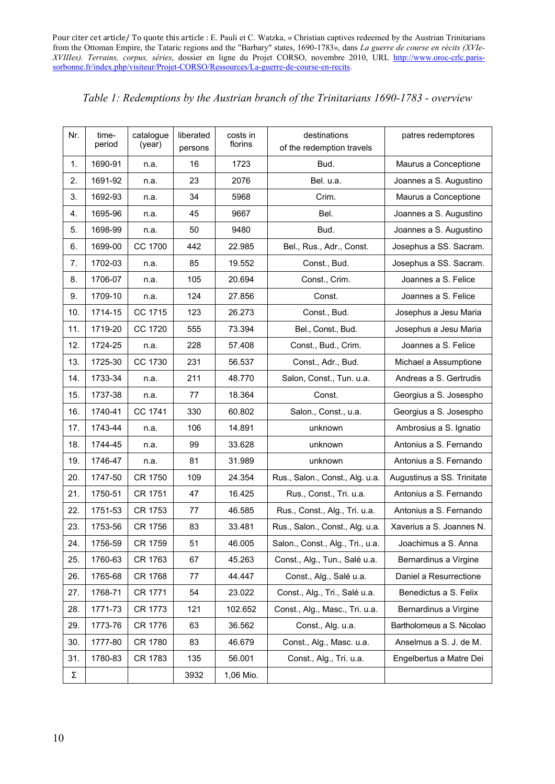| Table 1: Redemptions by the Austrian branch of the Trinitarians 1690-1783 - overview |  |  |  |
|--------------------------------------------------------------------------------------|--|--|--|
|                                                                                      |  |  |  |

| Nr. | time-<br>period | catalogue<br>(year) | liberated<br>persons | costs in<br>florins | destinations<br>of the redemption travels | patres redemptores         |  |
|-----|-----------------|---------------------|----------------------|---------------------|-------------------------------------------|----------------------------|--|
| 1.  | 1690-91         | n.a.                | 16                   | 1723                | Bud.                                      | Maurus a Conceptione       |  |
| 2.  | 1691-92         | n.a.                | 23                   | 2076                | Bel. u.a.                                 | Joannes a S. Augustino     |  |
| 3.  | 1692-93         | n.a.                | 34                   | 5968                | Crim.                                     | Maurus a Conceptione       |  |
| 4.  | 1695-96         | n.a.                | 45                   | 9667                | Bel.                                      | Joannes a S. Augustino     |  |
| 5.  | 1698-99         | n.a.                | 50                   | 9480                | Bud.                                      | Joannes a S. Augustino     |  |
| 6.  | 1699-00         | CC 1700             | 442                  | 22.985              | Bel., Rus., Adr., Const.                  | Josephus a SS. Sacram.     |  |
| 7.  | 1702-03         | n.a.                | 85                   | 19.552              | Const., Bud.                              | Josephus a SS. Sacram.     |  |
| 8.  | 1706-07         | n.a.                | 105                  | 20.694              | Const., Crim.                             | Joannes a S. Felice        |  |
| 9.  | 1709-10         | n.a.                | 124                  | 27.856              | Const.                                    | Joannes a S. Felice        |  |
| 10. | 1714-15         | CC 1715             | 123                  | 26.273              | Const., Bud.                              | Josephus a Jesu Maria      |  |
| 11. | 1719-20         | CC 1720             | 555                  | 73.394              | Bel., Const., Bud.                        | Josephus a Jesu Maria      |  |
| 12. | 1724-25         | n.a.                | 228                  | 57.408              | Const., Bud., Crim.                       | Joannes a S. Felice        |  |
| 13. | 1725-30         | CC 1730             | 231                  | 56.537              | Const., Adr., Bud.                        | Michael a Assumptione      |  |
| 14. | 1733-34         | n.a.                | 211                  | 48.770              | Salon, Const., Tun. u.a.                  | Andreas a S. Gertrudis     |  |
| 15. | 1737-38         | n.a.                | 77                   | 18.364              | Const.                                    | Georgius a S. Josespho     |  |
| 16. | 1740-41         | CC 1741             | 330                  | 60.802              | Salon., Const., u.a.                      | Georgius a S. Josespho     |  |
| 17. | 1743-44         | n.a.                | 106                  | 14.891              | unknown                                   | Ambrosius a S. Ignatio     |  |
| 18. | 1744-45         | n.a.                | 99                   | 33.628              | unknown                                   | Antonius a S. Fernando     |  |
| 19. | 1746-47         | n.a.                | 81                   | 31.989              | unknown                                   | Antonius a S. Fernando     |  |
| 20. | 1747-50         | CR 1750             | 109                  | 24.354              | Rus., Salon., Const., Alg. u.a.           | Augustinus a SS. Trinitate |  |
| 21. | 1750-51         | CR 1751             | 47                   | 16.425              | Rus., Const., Tri. u.a.                   | Antonius a S. Fernando     |  |
| 22. | 1751-53         | CR 1753             | 77                   | 46.585              | Rus., Const., Alg., Tri. u.a.             | Antonius a S. Fernando     |  |
| 23. | 1753-56         | CR 1756             | 83                   | 33.481              | Rus., Salon., Const., Alg. u.a.           | Xaverius a S. Joannes N.   |  |
| 24. | 1756-59         | CR 1759             | 51                   | 46.005              | Salon., Const., Alg., Tri., u.a.          | Joachimus a S. Anna        |  |
| 25. | 1760-63         | CR 1763             | 67                   | 45.263              | Const., Alg., Tun., Salé u.a.             | Bernardinus a Virgine      |  |
| 26. | 1765-68         | CR 1768             | 77                   | 44.447              | Const., Alg., Salé u.a.                   | Daniel a Resurrectione     |  |
| 27. | 1768-71         | CR 1771             | 54                   | 23.022              | Const., Alg., Tri., Salé u.a.             | Benedictus a S. Felix      |  |
| 28. | 1771-73         | CR 1773             | 121                  | 102.652             | Const., Alg., Masc., Tri. u.a.            | Bernardinus a Virgine      |  |
| 29. | 1773-76         | CR 1776             | 63                   | 36.562              | Const., Alg. u.a.                         | Bartholomeus a S. Nicolao  |  |
| 30. | 1777-80         | CR 1780             | 83                   | 46.679              | Const., Alg., Masc. u.a.                  | Anselmus a S. J. de M.     |  |
| 31. | 1780-83         | CR 1783             | 135                  | 56.001              | Const., Alg., Tri. u.a.                   | Engelbertus a Matre Dei    |  |
| Σ   |                 |                     | 3932                 | 1,06 Mio.           |                                           |                            |  |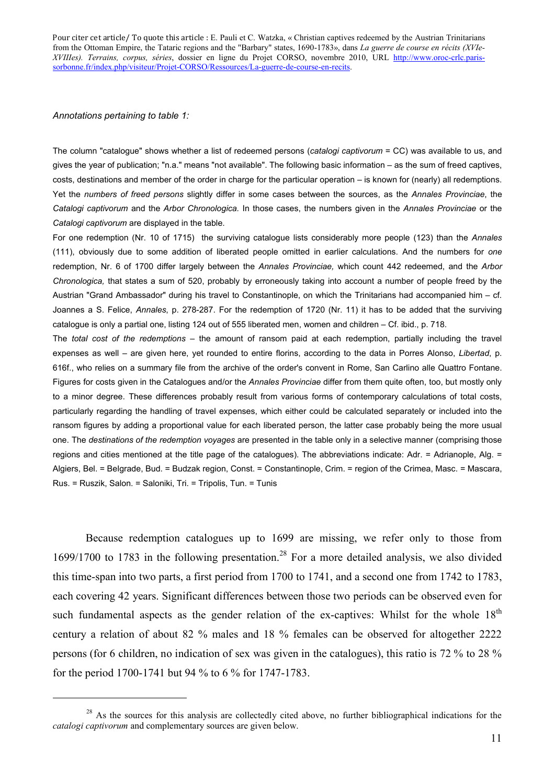*Annotations pertaining to table 1:*

1

The column "catalogue" shows whether a list of redeemed persons (*catalogi captivorum* = CC) was available to us, and gives the year of publication; "n.a." means "not available". The following basic information – as the sum of freed captives, costs, destinations and member of the order in charge for the particular operation – is known for (nearly) all redemptions. Yet the *numbers of freed persons* slightly differ in some cases between the sources, as the *Annales Provinciae*, the *Catalogi captivorum* and the *Arbor Chronologica.* In those cases, the numbers given in the *Annales Provinciae* or the *Catalogi captivorum* are displayed in the table.

For one redemption (Nr. 10 of 1715) the surviving catalogue lists considerably more people (123) than the *Annales*  (111), obviously due to some addition of liberated people omitted in earlier calculations. And the numbers for *one* redemption, Nr. 6 of 1700 differ largely between the *Annales Provinciae,* which count 442 redeemed, and the *Arbor Chronologica,* that states a sum of 520, probably by erroneously taking into account a number of people freed by the Austrian "Grand Ambassador" during his travel to Constantinople, on which the Trinitarians had accompanied him – cf. Joannes a S. Felice, *Annales*, p. 278-287. For the redemption of 1720 (Nr. 11) it has to be added that the surviving catalogue is only a partial one, listing 124 out of 555 liberated men, women and children – Cf. ibid., p. 718. The *total cost of the redemptions* – the amount of ransom paid at each redemption, partially including the travel expenses as well – are given here, yet rounded to entire florins, according to the data in Porres Alonso, *Libertad*, p. 616f., who relies on a summary file from the archive of the order's convent in Rome, San Carlino alle Quattro Fontane. Figures for costs given in the Catalogues and/or the *Annales Provinciae* differ from them quite often, too, but mostly only to a minor degree. These differences probably result from various forms of contemporary calculations of total costs, particularly regarding the handling of travel expenses, which either could be calculated separately or included into the ransom figures by adding a proportional value for each liberated person, the latter case probably being the more usual one. The *destinations of the redemption voyages* are presented in the table only in a selective manner (comprising those regions and cities mentioned at the title page of the catalogues). The abbreviations indicate: Adr. = Adrianople, Alg. = Algiers, Bel. = Belgrade, Bud. = Budzak region, Const. = Constantinople, Crim. = region of the Crimea, Masc. = Mascara, Rus. = Ruszik, Salon. = Saloniki, Tri. = Tripolis, Tun. = Tunis

Because redemption catalogues up to 1699 are missing, we refer only to those from 1699/1700 to 1783 in the following presentation.<sup>28</sup> For a more detailed analysis, we also divided this time-span into two parts, a first period from 1700 to 1741, and a second one from 1742 to 1783, each covering 42 years. Significant differences between those two periods can be observed even for such fundamental aspects as the gender relation of the ex-captives: Whilst for the whole  $18<sup>th</sup>$ century a relation of about 82 % males and 18 % females can be observed for altogether 2222 persons (for 6 children, no indication of sex was given in the catalogues), this ratio is 72 % to 28 % for the period 1700-1741 but 94 % to 6 % for 1747-1783.

<sup>&</sup>lt;sup>28</sup> As the sources for this analysis are collectedly cited above, no further bibliographical indications for the *catalogi captivorum* and complementary sources are given below.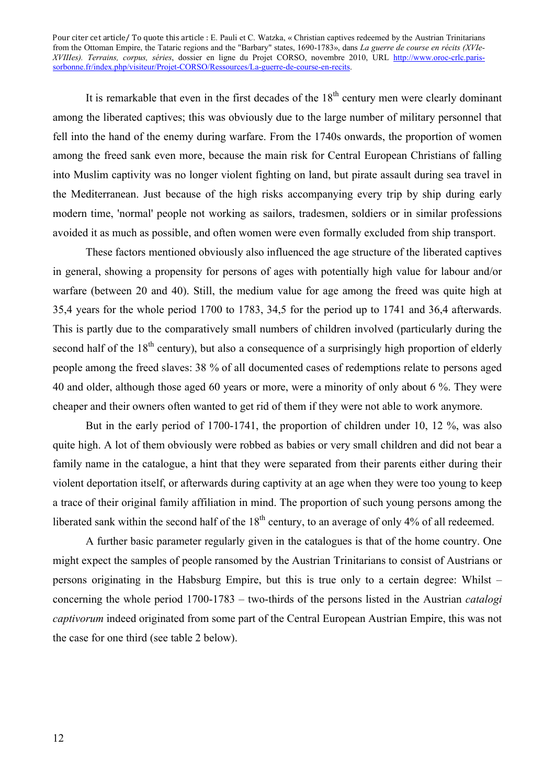It is remarkable that even in the first decades of the  $18<sup>th</sup>$  century men were clearly dominant among the liberated captives; this was obviously due to the large number of military personnel that fell into the hand of the enemy during warfare. From the 1740s onwards, the proportion of women among the freed sank even more, because the main risk for Central European Christians of falling into Muslim captivity was no longer violent fighting on land, but pirate assault during sea travel in the Mediterranean. Just because of the high risks accompanying every trip by ship during early modern time, 'normal' people not working as sailors, tradesmen, soldiers or in similar professions avoided it as much as possible, and often women were even formally excluded from ship transport.

These factors mentioned obviously also influenced the age structure of the liberated captives in general, showing a propensity for persons of ages with potentially high value for labour and/or warfare (between 20 and 40). Still, the medium value for age among the freed was quite high at 35,4 years for the whole period 1700 to 1783, 34,5 for the period up to 1741 and 36,4 afterwards. This is partly due to the comparatively small numbers of children involved (particularly during the second half of the 18<sup>th</sup> century), but also a consequence of a surprisingly high proportion of elderly people among the freed slaves: 38 % of all documented cases of redemptions relate to persons aged 40 and older, although those aged 60 years or more, were a minority of only about 6 %. They were cheaper and their owners often wanted to get rid of them if they were not able to work anymore.

But in the early period of 1700-1741, the proportion of children under 10, 12 %, was also quite high. A lot of them obviously were robbed as babies or very small children and did not bear a family name in the catalogue, a hint that they were separated from their parents either during their violent deportation itself, or afterwards during captivity at an age when they were too young to keep a trace of their original family affiliation in mind. The proportion of such young persons among the liberated sank within the second half of the  $18<sup>th</sup>$  century, to an average of only 4% of all redeemed.

A further basic parameter regularly given in the catalogues is that of the home country. One might expect the samples of people ransomed by the Austrian Trinitarians to consist of Austrians or persons originating in the Habsburg Empire, but this is true only to a certain degree: Whilst – concerning the whole period 1700-1783 – two-thirds of the persons listed in the Austrian *catalogi captivorum* indeed originated from some part of the Central European Austrian Empire, this was not the case for one third (see table 2 below).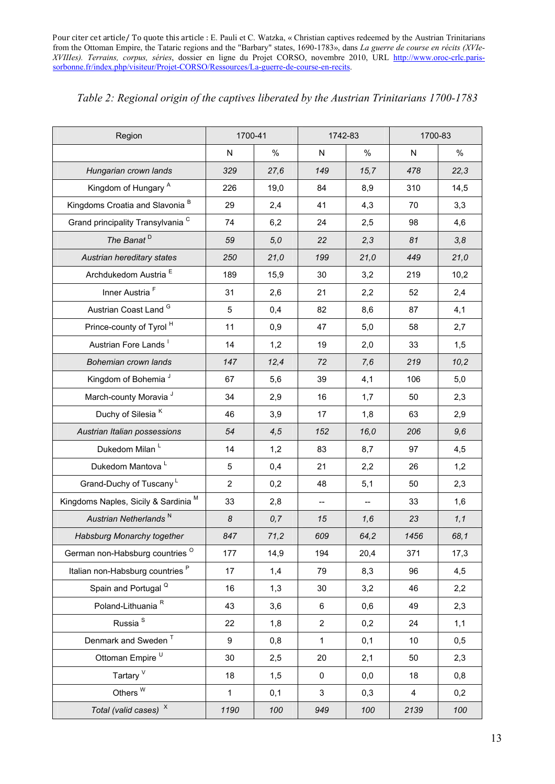| Region                                       | 1700-41        |      | 1742-83        |      | 1700-83        |      |
|----------------------------------------------|----------------|------|----------------|------|----------------|------|
|                                              | $\mathsf{N}$   | %    | $\mathsf{N}$   | %    | N              | %    |
| Hungarian crown lands                        | 329            | 27,6 | 149            | 15,7 | 478            | 22,3 |
| Kingdom of Hungary A                         | 226            | 19,0 | 84             | 8,9  | 310            | 14,5 |
| Kingdoms Croatia and Slavonia <sup>B</sup>   | 29             | 2,4  | 41             | 4,3  | 70             | 3,3  |
| Grand principality Transylvania <sup>C</sup> | 74             | 6,2  | 24             | 2,5  | 98             | 4,6  |
| The Banat <sup>D</sup>                       | 59             | 5,0  | 22             | 2,3  | 81             | 3,8  |
| Austrian hereditary states                   | 250            | 21,0 | 199            | 21,0 | 449            | 21,0 |
| Archdukedom Austria <sup>E</sup>             | 189            | 15,9 | 30             | 3,2  | 219            | 10,2 |
| Inner Austria <sup>F</sup>                   | 31             | 2,6  | 21             | 2,2  | 52             | 2,4  |
| Austrian Coast Land G                        | 5              | 0,4  | 82             | 8,6  | 87             | 4,1  |
| Prince-county of Tyrol <sup>H</sup>          | 11             | 0,9  | 47             | 5,0  | 58             | 2,7  |
| Austrian Fore Lands                          | 14             | 1,2  | 19             | 2,0  | 33             | 1,5  |
| Bohemian crown lands                         | 147            | 12,4 | 72             | 7,6  | 219            | 10,2 |
| Kingdom of Bohemia <sup>J</sup>              | 67             | 5,6  | 39             | 4,1  | 106            | 5,0  |
| March-county Moravia <sup>J</sup>            | 34             | 2,9  | 16             | 1,7  | 50             | 2,3  |
| Duchy of Silesia <sup>K</sup>                | 46             | 3,9  | 17             | 1,8  | 63             | 2,9  |
| Austrian Italian possessions                 | 54             | 4,5  | 152            | 16,0 | 206            | 9,6  |
| Dukedom Milan L                              | 14             | 1,2  | 83             | 8,7  | 97             | 4,5  |
| Dukedom Mantova L                            | 5              | 0,4  | 21             | 2,2  | 26             | 1,2  |
| Grand-Duchy of Tuscany <sup>L</sup>          | $\overline{2}$ | 0,2  | 48             | 5,1  | 50             | 2,3  |
| Kingdoms Naples, Sicily & Sardinia M         | 33             | 2,8  |                |      | 33             | 1,6  |
| Austrian Netherlands <sup>N</sup>            | 8              | 0,7  | 15             | 1,6  | 23             | 1,1  |
| Habsburg Monarchy together                   | 847            | 71,2 | 609            | 64,2 | 1456           | 68,1 |
| German non-Habsburg countries <sup>O</sup>   | 177            | 14,9 | 194            | 20,4 | 371            | 17,3 |
| Italian non-Habsburg countries <sup>P</sup>  | 17             | 1,4  | 79             | 8,3  | 96             | 4,5  |
| Spain and Portugal <sup>Q</sup>              | 16             | 1,3  | 30             | 3,2  | 46             | 2,2  |
| Poland-Lithuania <sup>R</sup>                | 43             | 3,6  | 6              | 0,6  | 49             | 2,3  |
| Russia <sup>S</sup>                          | 22             | 1,8  | $\overline{2}$ | 0,2  | 24             | 1,1  |
| Denmark and Sweden <sup>T</sup>              | 9              | 0,8  | $\mathbf{1}$   | 0,1  | 10             | 0,5  |
| Ottoman Empire U                             | 30             | 2,5  | 20             | 2,1  | 50             | 2,3  |
| Tartary <sup>V</sup>                         | 18             | 1,5  | $\mathbf 0$    | 0,0  | 18             | 0,8  |
| Others $W$                                   | $\mathbf 1$    | 0,1  | 3              | 0,3  | $\overline{4}$ | 0,2  |
| Total (valid cases) $^{\chi}$                | 1190           | 100  | 949            | 100  | 2139           | 100  |

### *Table 2: Regional origin of the captives liberated by the Austrian Trinitarians 1700-1783*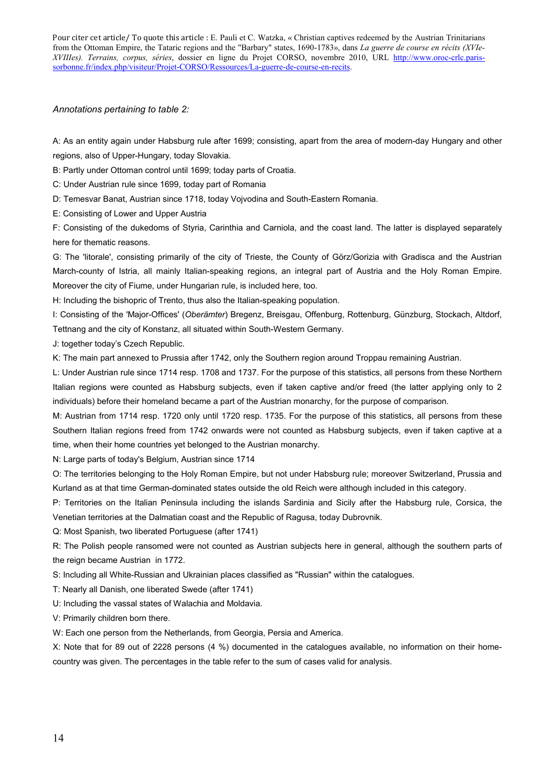#### *Annotations pertaining to table 2:*

A: As an entity again under Habsburg rule after 1699; consisting, apart from the area of modern-day Hungary and other regions, also of Upper-Hungary, today Slovakia.

B: Partly under Ottoman control until 1699; today parts of Croatia.

C: Under Austrian rule since 1699, today part of Romania

D: Temesvar Banat, Austrian since 1718, today Vojvodina and South-Eastern Romania.

E: Consisting of Lower and Upper Austria

F: Consisting of the dukedoms of Styria, Carinthia and Carniola, and the coast land. The latter is displayed separately here for thematic reasons.

G: The 'litorale', consisting primarily of the city of Trieste, the County of Görz/Gorizia with Gradisca and the Austrian March-county of Istria, all mainly Italian-speaking regions, an integral part of Austria and the Holy Roman Empire. Moreover the city of Fiume, under Hungarian rule, is included here, too.

H: Including the bishopric of Trento, thus also the Italian-speaking population.

I: Consisting of the 'Major-Offices' (*Oberämter*) Bregenz, Breisgau, Offenburg, Rottenburg, Günzburg, Stockach, Altdorf, Tettnang and the city of Konstanz, all situated within South-Western Germany.

J: together today's Czech Republic.

K: The main part annexed to Prussia after 1742, only the Southern region around Troppau remaining Austrian.

L: Under Austrian rule since 1714 resp. 1708 and 1737. For the purpose of this statistics, all persons from these Northern Italian regions were counted as Habsburg subjects, even if taken captive and/or freed (the latter applying only to 2 individuals) before their homeland became a part of the Austrian monarchy, for the purpose of comparison.

M: Austrian from 1714 resp. 1720 only until 1720 resp. 1735. For the purpose of this statistics, all persons from these Southern Italian regions freed from 1742 onwards were not counted as Habsburg subjects, even if taken captive at a time, when their home countries yet belonged to the Austrian monarchy.

N: Large parts of today's Belgium, Austrian since 1714

O: The territories belonging to the Holy Roman Empire, but not under Habsburg rule; moreover Switzerland, Prussia and Kurland as at that time German-dominated states outside the old Reich were although included in this category.

P: Territories on the Italian Peninsula including the islands Sardinia and Sicily after the Habsburg rule, Corsica, the Venetian territories at the Dalmatian coast and the Republic of Ragusa, today Dubrovnik.

Q: Most Spanish, two liberated Portuguese (after 1741)

R: The Polish people ransomed were not counted as Austrian subjects here in general, although the southern parts of the reign became Austrian in 1772.

S: Including all White-Russian and Ukrainian places classified as "Russian" within the catalogues.

T: Nearly all Danish, one liberated Swede (after 1741)

U: Including the vassal states of Walachia and Moldavia.

V: Primarily children born there.

W: Each one person from the Netherlands, from Georgia, Persia and America.

X: Note that for 89 out of 2228 persons (4 %) documented in the catalogues available, no information on their homecountry was given. The percentages in the table refer to the sum of cases valid for analysis.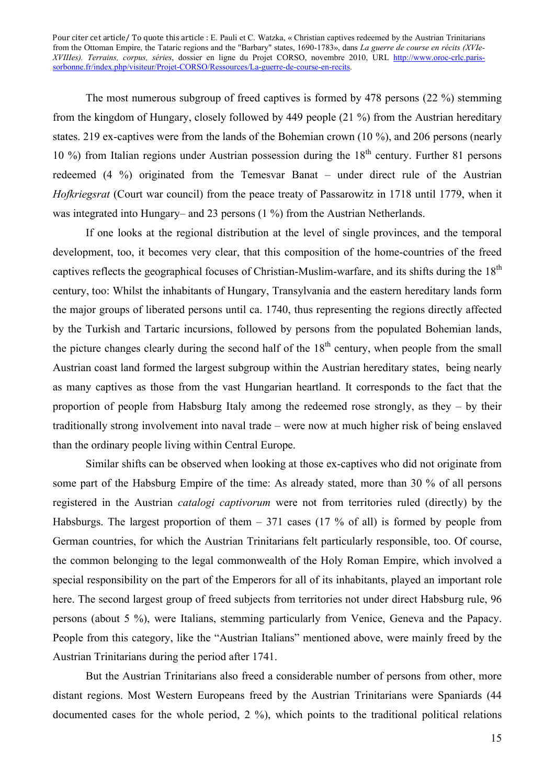The most numerous subgroup of freed captives is formed by 478 persons (22 %) stemming from the kingdom of Hungary, closely followed by 449 people (21 %) from the Austrian hereditary states. 219 ex-captives were from the lands of the Bohemian crown (10 %), and 206 persons (nearly 10 %) from Italian regions under Austrian possession during the  $18<sup>th</sup>$  century. Further 81 persons redeemed (4 %) originated from the Temesvar Banat – under direct rule of the Austrian *Hofkriegsrat* (Court war council) from the peace treaty of Passarowitz in 1718 until 1779, when it was integrated into Hungary– and 23 persons (1 %) from the Austrian Netherlands.

If one looks at the regional distribution at the level of single provinces, and the temporal development, too, it becomes very clear, that this composition of the home-countries of the freed captives reflects the geographical focuses of Christian-Muslim-warfare, and its shifts during the 18<sup>th</sup> century, too: Whilst the inhabitants of Hungary, Transylvania and the eastern hereditary lands form the major groups of liberated persons until ca. 1740, thus representing the regions directly affected by the Turkish and Tartaric incursions, followed by persons from the populated Bohemian lands, the picture changes clearly during the second half of the  $18<sup>th</sup>$  century, when people from the small Austrian coast land formed the largest subgroup within the Austrian hereditary states, being nearly as many captives as those from the vast Hungarian heartland. It corresponds to the fact that the proportion of people from Habsburg Italy among the redeemed rose strongly, as they – by their traditionally strong involvement into naval trade – were now at much higher risk of being enslaved than the ordinary people living within Central Europe.

Similar shifts can be observed when looking at those ex-captives who did not originate from some part of the Habsburg Empire of the time: As already stated, more than 30 % of all persons registered in the Austrian *catalogi captivorum* were not from territories ruled (directly) by the Habsburgs. The largest proportion of them  $-371$  cases (17 % of all) is formed by people from German countries, for which the Austrian Trinitarians felt particularly responsible, too. Of course, the common belonging to the legal commonwealth of the Holy Roman Empire, which involved a special responsibility on the part of the Emperors for all of its inhabitants, played an important role here. The second largest group of freed subjects from territories not under direct Habsburg rule, 96 persons (about 5 %), were Italians, stemming particularly from Venice, Geneva and the Papacy. People from this category, like the "Austrian Italians" mentioned above, were mainly freed by the Austrian Trinitarians during the period after 1741.

But the Austrian Trinitarians also freed a considerable number of persons from other, more distant regions. Most Western Europeans freed by the Austrian Trinitarians were Spaniards (44 documented cases for the whole period, 2 %), which points to the traditional political relations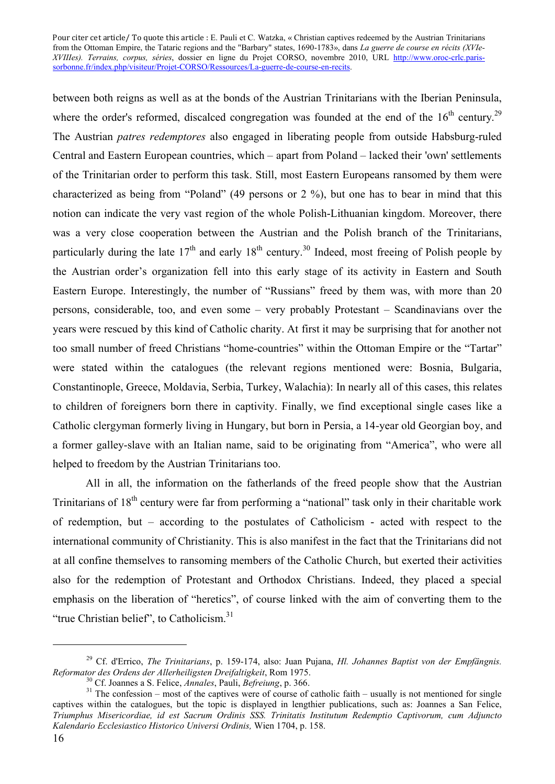between both reigns as well as at the bonds of the Austrian Trinitarians with the Iberian Peninsula, where the order's reformed, discalced congregation was founded at the end of the  $16<sup>th</sup>$  century.<sup>29</sup> The Austrian *patres redemptores* also engaged in liberating people from outside Habsburg-ruled Central and Eastern European countries, which – apart from Poland – lacked their 'own' settlements of the Trinitarian order to perform this task. Still, most Eastern Europeans ransomed by them were characterized as being from "Poland" (49 persons or 2 %), but one has to bear in mind that this notion can indicate the very vast region of the whole Polish-Lithuanian kingdom. Moreover, there was a very close cooperation between the Austrian and the Polish branch of the Trinitarians, particularly during the late  $17<sup>th</sup>$  and early  $18<sup>th</sup>$  century.<sup>30</sup> Indeed, most freeing of Polish people by the Austrian order's organization fell into this early stage of its activity in Eastern and South Eastern Europe. Interestingly, the number of "Russians" freed by them was, with more than 20 persons, considerable, too, and even some – very probably Protestant – Scandinavians over the years were rescued by this kind of Catholic charity. At first it may be surprising that for another not too small number of freed Christians "home-countries" within the Ottoman Empire or the "Tartar" were stated within the catalogues (the relevant regions mentioned were: Bosnia, Bulgaria, Constantinople, Greece, Moldavia, Serbia, Turkey, Walachia): In nearly all of this cases, this relates to children of foreigners born there in captivity. Finally, we find exceptional single cases like a Catholic clergyman formerly living in Hungary, but born in Persia, a 14-year old Georgian boy, and a former galley-slave with an Italian name, said to be originating from "America", who were all helped to freedom by the Austrian Trinitarians too.

All in all, the information on the fatherlands of the freed people show that the Austrian Trinitarians of  $18<sup>th</sup>$  century were far from performing a "national" task only in their charitable work of redemption, but – according to the postulates of Catholicism - acted with respect to the international community of Christianity. This is also manifest in the fact that the Trinitarians did not at all confine themselves to ransoming members of the Catholic Church, but exerted their activities also for the redemption of Protestant and Orthodox Christians. Indeed, they placed a special emphasis on the liberation of "heretics", of course linked with the aim of converting them to the "true Christian belief", to Catholicism.<sup>31</sup>

<u>.</u>

<sup>29</sup> Cf. d'Errico, *The Trinitarians*, p. 159-174, also: Juan Pujana, *Hl. Johannes Baptist von der Empfängnis.*  Reformator des Ordens der Allerheiligsten Dreifaltigkeit, Rom 1975.<br><sup>30</sup> Cf. Joannes a S. Felice, *Annales*, Pauli, *Befreiung*, p. 366.<br><sup>31</sup> The confession – most of the captives were of course of catholic faith – usually

captives within the catalogues, but the topic is displayed in lengthier publications, such as: Joannes a San Felice, *Triumphus Misericordiae, id est Sacrum Ordinis SSS. Trinitatis Institutum Redemptio Captivorum, cum Adjuncto Kalendario Ecclesiastico Historico Universi Ordinis,* Wien 1704, p. 158.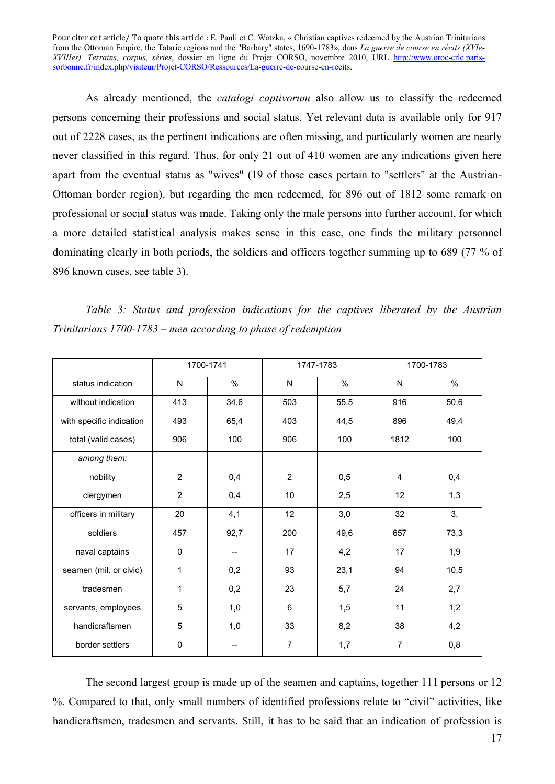As already mentioned, the *catalogi captivorum* also allow us to classify the redeemed persons concerning their professions and social status. Yet relevant data is available only for 917 out of 2228 cases, as the pertinent indications are often missing, and particularly women are nearly never classified in this regard. Thus, for only 21 out of 410 women are any indications given here apart from the eventual status as "wives" (19 of those cases pertain to "settlers" at the Austrian-Ottoman border region), but regarding the men redeemed, for 896 out of 1812 some remark on professional or social status was made. Taking only the male persons into further account, for which a more detailed statistical analysis makes sense in this case, one finds the military personnel dominating clearly in both periods, the soldiers and officers together summing up to 689 (77 % of 896 known cases, see table 3).

*Table 3: Status and profession indications for the captives liberated by the Austrian Trinitarians 1700-1783 – men according to phase of redemption*

|                          |                | 1700-1741<br>1747-1783 |                | 1700-1783 |                |      |
|--------------------------|----------------|------------------------|----------------|-----------|----------------|------|
| status indication        | N              | $\frac{0}{0}$          | N              | $\%$      | N              | $\%$ |
| without indication       | 413            | 34,6                   | 503            | 55,5      | 916            | 50,6 |
| with specific indication | 493            | 65,4                   | 403            | 44,5      | 896            | 49,4 |
| total (valid cases)      | 906            | 100                    | 906            | 100       | 1812           | 100  |
| among them:              |                |                        |                |           |                |      |
| nobility                 | $\overline{2}$ | 0,4                    | $\overline{2}$ | 0,5       | $\overline{4}$ | 0,4  |
| clergymen                | $\overline{2}$ | 0,4                    | 10             | 2,5       | 12             | 1,3  |
| officers in military     | 20             | 4,1                    | 12             | 3,0       | 32             | 3,   |
| soldiers                 | 457            | 92,7                   | 200            | 49,6      | 657            | 73,3 |
| naval captains           | $\Omega$       | $-$                    | 17             | 4,2       | 17             | 1,9  |
| seamen (mil. or civic)   | 1              | 0,2                    | 93             | 23,1      | 94             | 10,5 |
| tradesmen                | 1              | 0,2                    | 23             | 5,7       | 24             | 2,7  |
| servants, employees      | 5              | 1,0                    | 6              | 1,5       | 11             | 1,2  |
| handicraftsmen           | 5              | 1,0                    | 33             | 8,2       | 38             | 4,2  |
| border settlers          | $\mathbf 0$    |                        | $\overline{7}$ | 1,7       | $\overline{7}$ | 0,8  |

The second largest group is made up of the seamen and captains, together 111 persons or 12 %. Compared to that, only small numbers of identified professions relate to "civil" activities, like handicraftsmen, tradesmen and servants. Still, it has to be said that an indication of profession is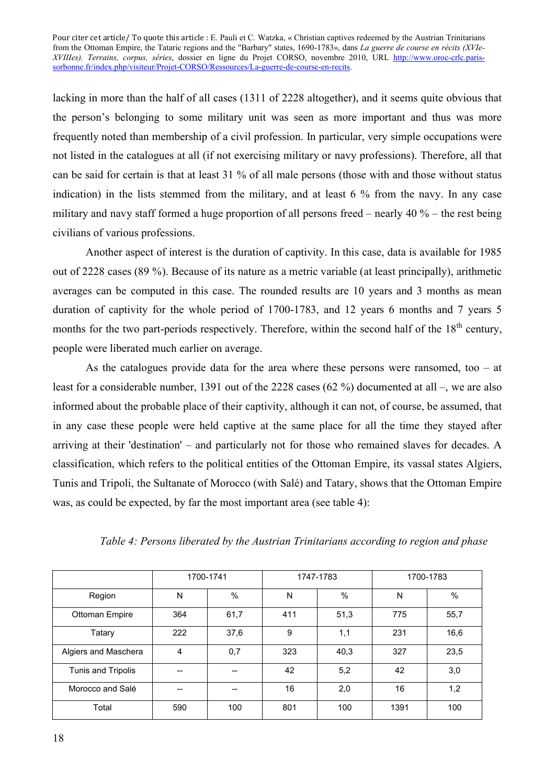lacking in more than the half of all cases (1311 of 2228 altogether), and it seems quite obvious that the person's belonging to some military unit was seen as more important and thus was more frequently noted than membership of a civil profession. In particular, very simple occupations were not listed in the catalogues at all (if not exercising military or navy professions). Therefore, all that can be said for certain is that at least 31 % of all male persons (those with and those without status indication) in the lists stemmed from the military, and at least 6 % from the navy. In any case military and navy staff formed a huge proportion of all persons freed – nearly 40 % – the rest being civilians of various professions.

Another aspect of interest is the duration of captivity. In this case, data is available for 1985 out of 2228 cases (89 %). Because of its nature as a metric variable (at least principally), arithmetic averages can be computed in this case. The rounded results are 10 years and 3 months as mean duration of captivity for the whole period of 1700-1783, and 12 years 6 months and 7 years 5 months for the two part-periods respectively. Therefore, within the second half of the  $18<sup>th</sup>$  century, people were liberated much earlier on average.

As the catalogues provide data for the area where these persons were ransomed, too  $-$  at least for a considerable number, 1391 out of the 2228 cases (62 %) documented at all –, we are also informed about the probable place of their captivity, although it can not, of course, be assumed, that in any case these people were held captive at the same place for all the time they stayed after arriving at their 'destination' – and particularly not for those who remained slaves for decades. A classification, which refers to the political entities of the Ottoman Empire, its vassal states Algiers, Tunis and Tripoli, the Sultanate of Morocco (with Salé) and Tatary, shows that the Ottoman Empire was, as could be expected, by far the most important area (see table 4):

|                      | 1700-1741 |      | 1747-1783 |      | 1700-1783 |      |
|----------------------|-----------|------|-----------|------|-----------|------|
| Region               | N         | $\%$ | N         | $\%$ | N         | $\%$ |
| Ottoman Empire       | 364       | 61,7 | 411       | 51,3 | 775       | 55,7 |
| Tatary               | 222       | 37,6 | 9         | 1,1  | 231       | 16,6 |
| Algiers and Maschera | 4         | 0,7  | 323       | 40,3 | 327       | 23,5 |
| Tunis and Tripolis   |           |      | 42        | 5,2  | 42        | 3,0  |
| Morocco and Salé     | --        |      | 16        | 2,0  | 16        | 1,2  |
| Total                | 590       | 100  | 801       | 100  | 1391      | 100  |

*Table 4: Persons liberated by the Austrian Trinitarians according to region and phase*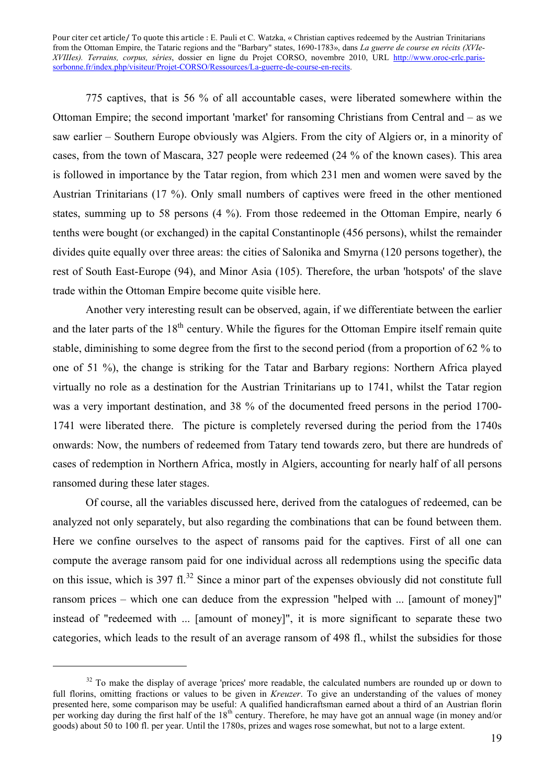775 captives, that is 56 % of all accountable cases, were liberated somewhere within the Ottoman Empire; the second important 'market' for ransoming Christians from Central and – as we saw earlier – Southern Europe obviously was Algiers. From the city of Algiers or, in a minority of cases, from the town of Mascara, 327 people were redeemed (24 % of the known cases). This area is followed in importance by the Tatar region, from which 231 men and women were saved by the Austrian Trinitarians (17 %). Only small numbers of captives were freed in the other mentioned states, summing up to 58 persons (4 %). From those redeemed in the Ottoman Empire, nearly 6 tenths were bought (or exchanged) in the capital Constantinople (456 persons), whilst the remainder divides quite equally over three areas: the cities of Salonika and Smyrna (120 persons together), the rest of South East-Europe (94), and Minor Asia (105). Therefore, the urban 'hotspots' of the slave trade within the Ottoman Empire become quite visible here.

Another very interesting result can be observed, again, if we differentiate between the earlier and the later parts of the  $18<sup>th</sup>$  century. While the figures for the Ottoman Empire itself remain quite stable, diminishing to some degree from the first to the second period (from a proportion of 62 % to one of 51 %), the change is striking for the Tatar and Barbary regions: Northern Africa played virtually no role as a destination for the Austrian Trinitarians up to 1741, whilst the Tatar region was a very important destination, and 38 % of the documented freed persons in the period 1700- 1741 were liberated there. The picture is completely reversed during the period from the 1740s onwards: Now, the numbers of redeemed from Tatary tend towards zero, but there are hundreds of cases of redemption in Northern Africa, mostly in Algiers, accounting for nearly half of all persons ransomed during these later stages.

Of course, all the variables discussed here, derived from the catalogues of redeemed, can be analyzed not only separately, but also regarding the combinations that can be found between them. Here we confine ourselves to the aspect of ransoms paid for the captives. First of all one can compute the average ransom paid for one individual across all redemptions using the specific data on this issue, which is 397 fl.<sup>32</sup> Since a minor part of the expenses obviously did not constitute full ransom prices – which one can deduce from the expression "helped with ... [amount of money]" instead of "redeemed with ... [amount of money]", it is more significant to separate these two categories, which leads to the result of an average ransom of 498 fl., whilst the subsidies for those

 $32$  To make the display of average 'prices' more readable, the calculated numbers are rounded up or down to full florins, omitting fractions or values to be given in *Kreuzer*. To give an understanding of the values of money presented here, some comparison may be useful: A qualified handicraftsman earned about a third of an Austrian florin per working day during the first half of the 18<sup>th</sup> century. Therefore, he may have got an annual wage (in money and/or goods) about 50 to 100 fl. per year. Until the 1780s, prizes and wages rose somewhat, but not to a large extent.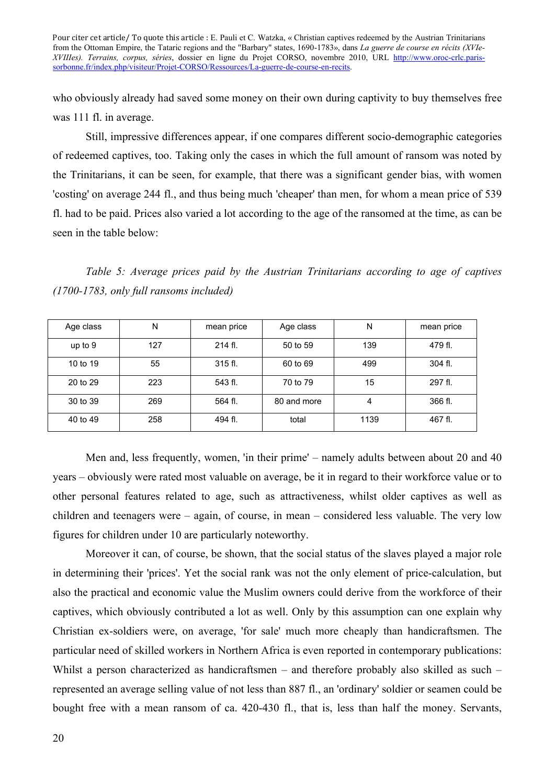who obviously already had saved some money on their own during captivity to buy themselves free was 111 fl. in average.

Still, impressive differences appear, if one compares different socio-demographic categories of redeemed captives, too. Taking only the cases in which the full amount of ransom was noted by the Trinitarians, it can be seen, for example, that there was a significant gender bias, with women 'costing' on average 244 fl., and thus being much 'cheaper' than men, for whom a mean price of 539 fl. had to be paid. Prices also varied a lot according to the age of the ransomed at the time, as can be seen in the table below:

*Table 5: Average prices paid by the Austrian Trinitarians according to age of captives (1700-1783, only full ransoms included)* 

| Age class | N   | mean price | Age class   | N    | mean price |
|-----------|-----|------------|-------------|------|------------|
| up to 9   | 127 | 214 fl.    | 50 to 59    | 139  | 479 fl.    |
| 10 to 19  | 55  | $315$ fl.  | 60 to 69    | 499  | 304 fl.    |
| 20 to 29  | 223 | 543 fl.    | 70 to 79    | 15   | 297 fl.    |
| 30 to 39  | 269 | 564 fl.    | 80 and more | 4    | 366 fl.    |
| 40 to 49  | 258 | 494 fl.    | total       | 1139 | 467 fl.    |

Men and, less frequently, women, 'in their prime' – namely adults between about 20 and 40 years – obviously were rated most valuable on average, be it in regard to their workforce value or to other personal features related to age, such as attractiveness, whilst older captives as well as children and teenagers were – again, of course, in mean – considered less valuable. The very low figures for children under 10 are particularly noteworthy.

Moreover it can, of course, be shown, that the social status of the slaves played a major role in determining their 'prices'. Yet the social rank was not the only element of price-calculation, but also the practical and economic value the Muslim owners could derive from the workforce of their captives, which obviously contributed a lot as well. Only by this assumption can one explain why Christian ex-soldiers were, on average, 'for sale' much more cheaply than handicraftsmen. The particular need of skilled workers in Northern Africa is even reported in contemporary publications: Whilst a person characterized as handicraftsmen – and therefore probably also skilled as such – represented an average selling value of not less than 887 fl., an 'ordinary' soldier or seamen could be bought free with a mean ransom of ca. 420-430 fl., that is, less than half the money. Servants,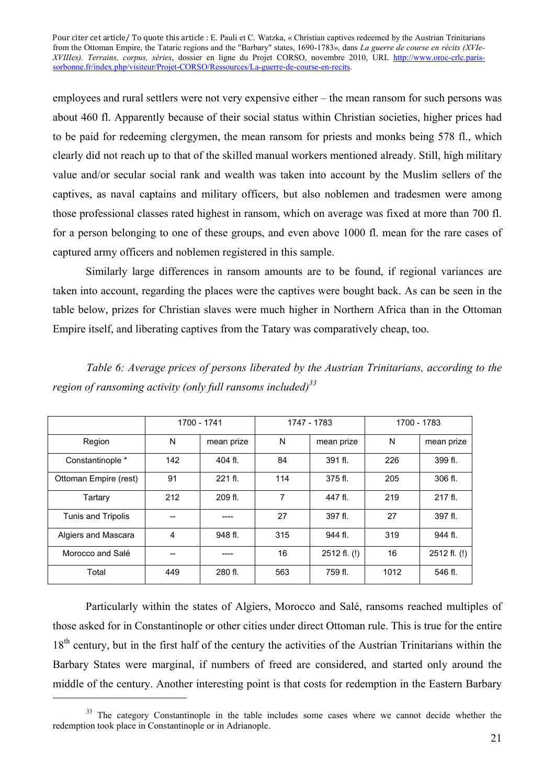employees and rural settlers were not very expensive either – the mean ransom for such persons was about 460 fl. Apparently because of their social status within Christian societies, higher prices had to be paid for redeeming clergymen, the mean ransom for priests and monks being 578 fl., which clearly did not reach up to that of the skilled manual workers mentioned already. Still, high military value and/or secular social rank and wealth was taken into account by the Muslim sellers of the captives, as naval captains and military officers, but also noblemen and tradesmen were among those professional classes rated highest in ransom, which on average was fixed at more than 700 fl. for a person belonging to one of these groups, and even above 1000 fl. mean for the rare cases of captured army officers and noblemen registered in this sample.

Similarly large differences in ransom amounts are to be found, if regional variances are taken into account, regarding the places were the captives were bought back. As can be seen in the table below, prizes for Christian slaves were much higher in Northern Africa than in the Ottoman Empire itself, and liberating captives from the Tatary was comparatively cheap, too.

|                       |     | 1700 - 1741 | 1747 - 1783 |              | 1700 - 1783 |              |  |
|-----------------------|-----|-------------|-------------|--------------|-------------|--------------|--|
| Region                | N   | mean prize  | N           | mean prize   | N           | mean prize   |  |
| Constantinople *      | 142 | 404 fl.     | 84          | 391 fl.      | 226         | 399 fl.      |  |
| Ottoman Empire (rest) | 91  | 221 fl.     | 114         | 375 fl.      | 205         | 306 fl.      |  |
| Tartary               | 212 | 209 fl.     | 7           | 447 fl.      | 219         | 217 fl.      |  |
| Tunis and Tripolis    |     |             | 27          | 397 fl.      | 27          | 397 fl.      |  |
| Algiers and Mascara   | 4   | 948 fl.     | 315         | 944 fl.      | 319         | 944 fl.      |  |
| Morocco and Salé      |     |             | 16          | 2512 fl. (!) | 16          | 2512 fl. (!) |  |
| Total                 | 449 | 280 fl.     | 563         | 759 fl.      | 1012        | 546 fl.      |  |

*Table 6: Average prices of persons liberated by the Austrian Trinitarians, according to the region of ransoming activity (only full ransoms included)<sup>33</sup>*

Particularly within the states of Algiers, Morocco and Salé, ransoms reached multiples of those asked for in Constantinople or other cities under direct Ottoman rule. This is true for the entire 18<sup>th</sup> century, but in the first half of the century the activities of the Austrian Trinitarians within the Barbary States were marginal, if numbers of freed are considered, and started only around the middle of the century. Another interesting point is that costs for redemption in the Eastern Barbary

<sup>&</sup>lt;sup>33</sup> The category Constantinople in the table includes some cases where we cannot decide whether the redemption took place in Constantinople or in Adrianople.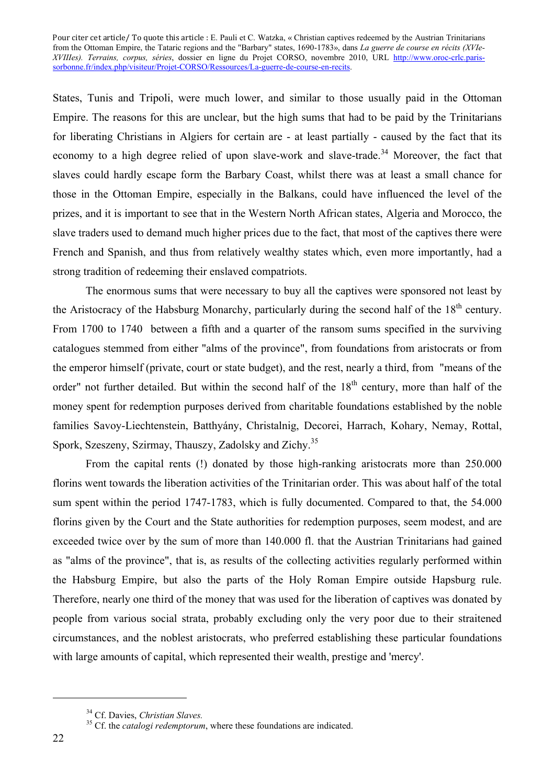States, Tunis and Tripoli, were much lower, and similar to those usually paid in the Ottoman Empire. The reasons for this are unclear, but the high sums that had to be paid by the Trinitarians for liberating Christians in Algiers for certain are - at least partially - caused by the fact that its economy to a high degree relied of upon slave-work and slave-trade.<sup>34</sup> Moreover, the fact that slaves could hardly escape form the Barbary Coast, whilst there was at least a small chance for those in the Ottoman Empire, especially in the Balkans, could have influenced the level of the prizes, and it is important to see that in the Western North African states, Algeria and Morocco, the slave traders used to demand much higher prices due to the fact, that most of the captives there were French and Spanish, and thus from relatively wealthy states which, even more importantly, had a strong tradition of redeeming their enslaved compatriots.

The enormous sums that were necessary to buy all the captives were sponsored not least by the Aristocracy of the Habsburg Monarchy, particularly during the second half of the 18<sup>th</sup> century. From 1700 to 1740 between a fifth and a quarter of the ransom sums specified in the surviving catalogues stemmed from either "alms of the province", from foundations from aristocrats or from the emperor himself (private, court or state budget), and the rest, nearly a third, from "means of the order" not further detailed. But within the second half of the 18<sup>th</sup> century, more than half of the money spent for redemption purposes derived from charitable foundations established by the noble families Savoy-Liechtenstein, Batthyány, Christalnig, Decorei, Harrach, Kohary, Nemay, Rottal, Spork, Szeszeny, Szirmay, Thauszy, Zadolsky and Zichy.<sup>35</sup>

From the capital rents (!) donated by those high-ranking aristocrats more than 250.000 florins went towards the liberation activities of the Trinitarian order. This was about half of the total sum spent within the period 1747-1783, which is fully documented. Compared to that, the 54.000 florins given by the Court and the State authorities for redemption purposes, seem modest, and are exceeded twice over by the sum of more than 140.000 fl. that the Austrian Trinitarians had gained as "alms of the province", that is, as results of the collecting activities regularly performed within the Habsburg Empire, but also the parts of the Holy Roman Empire outside Hapsburg rule. Therefore, nearly one third of the money that was used for the liberation of captives was donated by people from various social strata, probably excluding only the very poor due to their straitened circumstances, and the noblest aristocrats, who preferred establishing these particular foundations with large amounts of capital, which represented their wealth, prestige and 'mercy'.

<sup>&</sup>lt;sup>34</sup> Cf. Davies, *Christian Slaves*.<br><sup>35</sup> Cf. the *catalogi redemptorum*, where these foundations are indicated.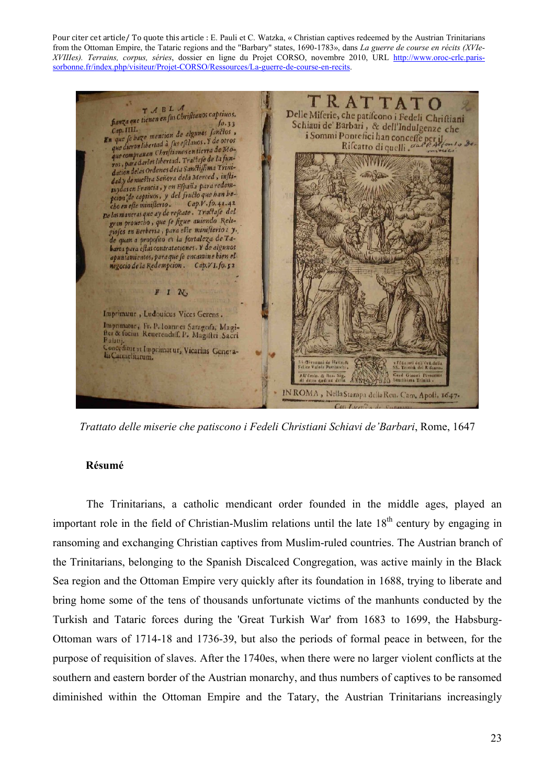$T$  A B L A<br>fanza que tienen en fus Christianos captiuos.<br>fo. 33 Delle Miferie, che patifcono i Fedeli Chriftiani Schiaui de' Barbari, & dell'Indulgenze che ro.33<br>
Cap. III.<br>
En que fe haze mencion de algunos fancios,<br>
que dieron libertad à fus efclauos. Y de otros<br>
que compranan Christianos en tierra de Mo-<br>
que compranan Christianos en tierra de Mo-Cap. IIII. niaui de Barbari, & dell'Indulgenze che<br>i Sommi Pontefici han conceffe per il<br>Rifcatto di quelli, galle dell'anto de Rifcatto di quelli . da que comprauan Christianos en tierra de 1910-<br>1905 : para darles libertad. Tractase de la funros, para darles libertad. Iraliaje de la faridacion delas Ordenes dela sanctifirma Trini-<br>dad,y de nuestra Señora dela Merced, inflidad,y de nuestra senora aeta mercea, enfortuydas en Francia, y en España puede han be-<br>peion de capituos, y del fructo que han be-<br>cho en efte miniflerio. Cap.V.fo.41.42 cho en este ministerio. Cap.v., jo.41.42<br>De las maneras que ay de rescate. Tractasse del gran prouecho, que se hgue auiendo Religioso en Berberia, para este ministerio: y. de quan a proposito es la fortaleza de Tabarea para eftas contrataciones. Y de algunos apuntamientos, para que se encamine bien el  $F$   $N$ . Imprimatur, Ludouicus Vices Gerens. Imprimatur, Fr. P. Ioannes Saragofa, Magi-<br>fter & focius Reuerendiff, P. Magiftri Sacri Palauj.<br>Palauj.<br>Conceditur vt Imprimat ur, Vicarius Genera-Card Gir IN ROMA, Nella Stampa della Reu. Cam. Apoft. 1647.

*Trattato delle miserie che patiscono i Fedeli Christiani Schiavi de'Barbari*, Rome, 1647

#### **Résumé**

The Trinitarians, a catholic mendicant order founded in the middle ages, played an important role in the field of Christian-Muslim relations until the late  $18<sup>th</sup>$  century by engaging in ransoming and exchanging Christian captives from Muslim-ruled countries. The Austrian branch of the Trinitarians, belonging to the Spanish Discalced Congregation, was active mainly in the Black Sea region and the Ottoman Empire very quickly after its foundation in 1688, trying to liberate and bring home some of the tens of thousands unfortunate victims of the manhunts conducted by the Turkish and Tataric forces during the 'Great Turkish War' from 1683 to 1699, the Habsburg-Ottoman wars of 1714-18 and 1736-39, but also the periods of formal peace in between, for the purpose of requisition of slaves. After the 1740es, when there were no larger violent conflicts at the southern and eastern border of the Austrian monarchy, and thus numbers of captives to be ransomed diminished within the Ottoman Empire and the Tatary, the Austrian Trinitarians increasingly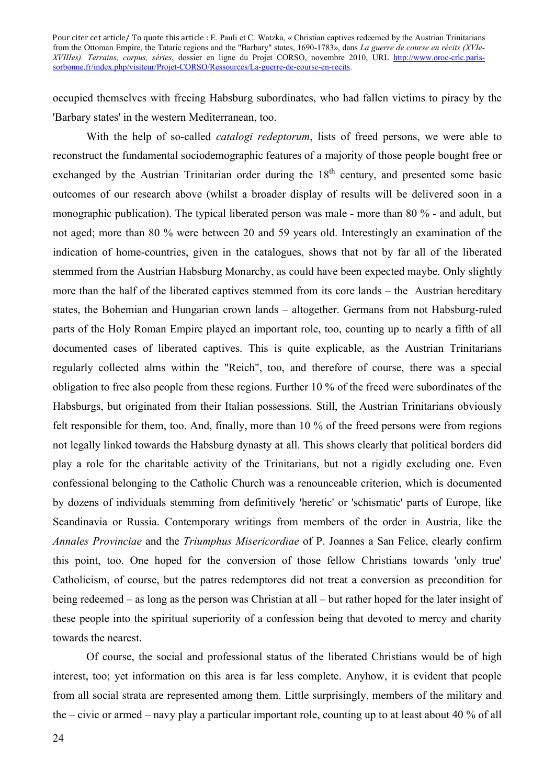occupied themselves with freeing Habsburg subordinates, who had fallen victims to piracy by the 'Barbary states' in the western Mediterranean, too.

With the help of so-called *catalogi redeptorum*, lists of freed persons, we were able to reconstruct the fundamental sociodemographic features of a majority of those people bought free or exchanged by the Austrian Trinitarian order during the  $18<sup>th</sup>$  century, and presented some basic outcomes of our research above (whilst a broader display of results will be delivered soon in a monographic publication). The typical liberated person was male - more than 80 % - and adult, but not aged; more than 80 % were between 20 and 59 years old. Interestingly an examination of the indication of home-countries, given in the catalogues, shows that not by far all of the liberated stemmed from the Austrian Habsburg Monarchy, as could have been expected maybe. Only slightly more than the half of the liberated captives stemmed from its core lands – the Austrian hereditary states, the Bohemian and Hungarian crown lands – altogether. Germans from not Habsburg-ruled parts of the Holy Roman Empire played an important role, too, counting up to nearly a fifth of all documented cases of liberated captives. This is quite explicable, as the Austrian Trinitarians regularly collected alms within the "Reich", too, and therefore of course, there was a special obligation to free also people from these regions. Further 10 % of the freed were subordinates of the Habsburgs, but originated from their Italian possessions. Still, the Austrian Trinitarians obviously felt responsible for them, too. And, finally, more than 10 % of the freed persons were from regions not legally linked towards the Habsburg dynasty at all. This shows clearly that political borders did play a role for the charitable activity of the Trinitarians, but not a rigidly excluding one. Even confessional belonging to the Catholic Church was a renounceable criterion, which is documented by dozens of individuals stemming from definitively 'heretic' or 'schismatic' parts of Europe, like Scandinavia or Russia. Contemporary writings from members of the order in Austria, like the *Annales Provinciae* and the *Triumphus Misericordiae* of P. Joannes a San Felice, clearly confirm this point, too. One hoped for the conversion of those fellow Christians towards 'only true' Catholicism, of course, but the patres redemptores did not treat a conversion as precondition for being redeemed – as long as the person was Christian at all – but rather hoped for the later insight of these people into the spiritual superiority of a confession being that devoted to mercy and charity towards the nearest.

Of course, the social and professional status of the liberated Christians would be of high interest, too; yet information on this area is far less complete. Anyhow, it is evident that people from all social strata are represented among them. Little surprisingly, members of the military and the – civic or armed – navy play a particular important role, counting up to at least about 40 % of all